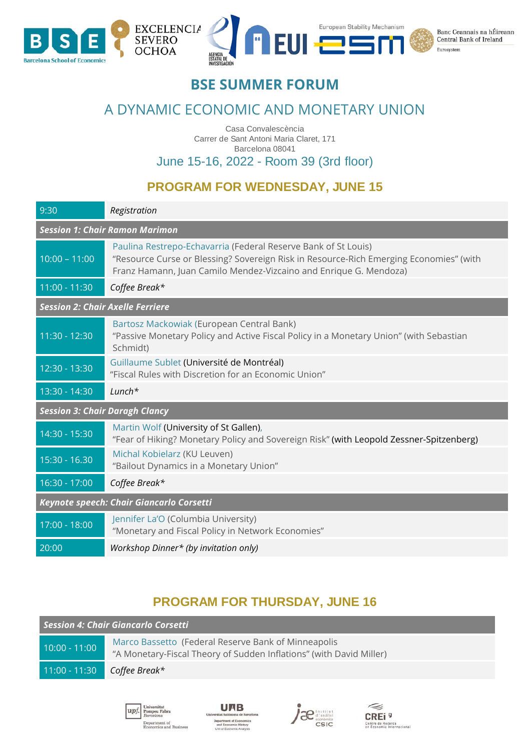

## **BSE SUMMER FORUM**

# A DYNAMIC ECONOMIC AND MONETARY UNION

Casa Convalescència Carrer de Sant Antoni Maria Claret, 171 Barcelona 08041

June 15-16, 2022 - Room 39 (3rd floor)

### **PROGRAM FOR WEDNESDAY, JUNE 15**

| 9:30                                     | Registration                                                                                                                                                                                                                  |  |
|------------------------------------------|-------------------------------------------------------------------------------------------------------------------------------------------------------------------------------------------------------------------------------|--|
| <b>Session 1: Chair Ramon Marimon</b>    |                                                                                                                                                                                                                               |  |
| $10:00 - 11:00$                          | Paulina Restrepo-Echavarria (Federal Reserve Bank of St Louis)<br>"Resource Curse or Blessing? Sovereign Risk in Resource-Rich Emerging Economies" (with<br>Franz Hamann, Juan Camilo Mendez-Vizcaino and Enrique G. Mendoza) |  |
| 11:00 - 11:30                            | Coffee Break*                                                                                                                                                                                                                 |  |
| <b>Session 2: Chair Axelle Ferriere</b>  |                                                                                                                                                                                                                               |  |
| 11:30 - 12:30                            | Bartosz Mackowiak (European Central Bank)<br>"Passive Monetary Policy and Active Fiscal Policy in a Monetary Union" (with Sebastian<br>Schmidt)                                                                               |  |
| 12:30 - 13:30                            | Guillaume Sublet (Université de Montréal)<br>"Fiscal Rules with Discretion for an Economic Union"                                                                                                                             |  |
| 13:30 - 14:30                            | $Lunch*$                                                                                                                                                                                                                      |  |
| <b>Session 3: Chair Daragh Clancy</b>    |                                                                                                                                                                                                                               |  |
| 14:30 - 15:30                            | Martin Wolf (University of St Gallen),<br>"Fear of Hiking? Monetary Policy and Sovereign Risk" (with Leopold Zessner-Spitzenberg)                                                                                             |  |
| 15:30 - 16.30                            | Michal Kobielarz (KU Leuven)<br>"Bailout Dynamics in a Monetary Union"                                                                                                                                                        |  |
| $16:30 - 17:00$                          | Coffee Break*                                                                                                                                                                                                                 |  |
| Keynote speech: Chair Giancarlo Corsetti |                                                                                                                                                                                                                               |  |
| 17:00 - 18:00                            | Jennifer La'O (Columbia University)<br>"Monetary and Fiscal Policy in Network Economies"                                                                                                                                      |  |
| 20:00                                    | Workshop Dinner* (by invitation only)                                                                                                                                                                                         |  |

#### **PROGRAM FOR THURSDAY, JUNE 16**

| Session 4: Chair Giancarlo Corsetti |                                                                                                                            |  |
|-------------------------------------|----------------------------------------------------------------------------------------------------------------------------|--|
| $10:00 - 11:00$                     | Marco Bassetto (Federal Reserve Bank of Minneapolis<br>"A Monetary-Fiscal Theory of Sudden Inflations" (with David Miller) |  |
| $11:00 - 11:30$                     | Coffee Break*                                                                                                              |  |
|                                     |                                                                                                                            |  |